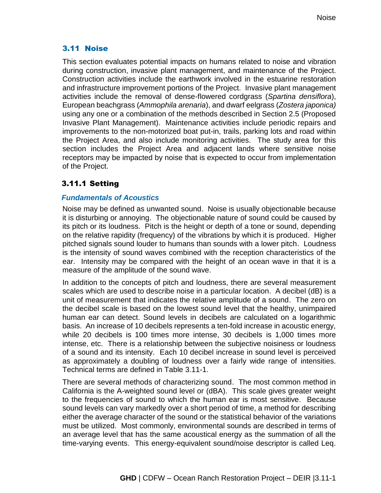### 3.11 Noise

This section evaluates potential impacts on humans related to noise and vibration during construction, invasive plant management, and maintenance of the Project. Construction activities include the earthwork involved in the estuarine restoration and infrastructure improvement portions of the Project. Invasive plant management activities include the removal of dense-flowered cordgrass (*Spartina densiflora*), European beachgrass (*Ammophila arenaria*), and dwarf eelgrass (*Zostera japonica)* using any one or a combination of the methods described in Section 2.5 (Proposed Invasive Plant Management). Maintenance activities include periodic repairs and improvements to the non-motorized boat put-in, trails, parking lots and road within the Project Area, and also include monitoring activities. The study area for this section includes the Project Area and adjacent lands where sensitive noise receptors may be impacted by noise that is expected to occur from implementation of the Project.

## 3.11.1 Setting

### *Fundamentals of Acoustics*

Noise may be defined as unwanted sound. Noise is usually objectionable because it is disturbing or annoying. The objectionable nature of sound could be caused by its pitch or its loudness. Pitch is the height or depth of a tone or sound, depending on the relative rapidity (frequency) of the vibrations by which it is produced. Higher pitched signals sound louder to humans than sounds with a lower pitch. Loudness is the intensity of sound waves combined with the reception characteristics of the ear. Intensity may be compared with the height of an ocean wave in that it is a measure of the amplitude of the sound wave.

In addition to the concepts of pitch and loudness, there are several measurement scales which are used to describe noise in a particular location. A decibel (dB) is a unit of measurement that indicates the relative amplitude of a sound. The zero on the decibel scale is based on the lowest sound level that the healthy, unimpaired human ear can detect. Sound levels in decibels are calculated on a logarithmic basis. An increase of 10 decibels represents a ten-fold increase in acoustic energy, while 20 decibels is 100 times more intense, 30 decibels is 1,000 times more intense, etc. There is a relationship between the subjective noisiness or loudness of a sound and its intensity. Each 10 decibel increase in sound level is perceived as approximately a doubling of loudness over a fairly wide range of intensities. Technical terms are defined in Table 3.11-1.

There are several methods of characterizing sound. The most common method in California is the A-weighted sound level or (dBA). This scale gives greater weight to the frequencies of sound to which the human ear is most sensitive. Because sound levels can vary markedly over a short period of time, a method for describing either the average character of the sound or the statistical behavior of the variations must be utilized. Most commonly, environmental sounds are described in terms of an average level that has the same acoustical energy as the summation of all the time-varying events. This energy-equivalent sound/noise descriptor is called Leq.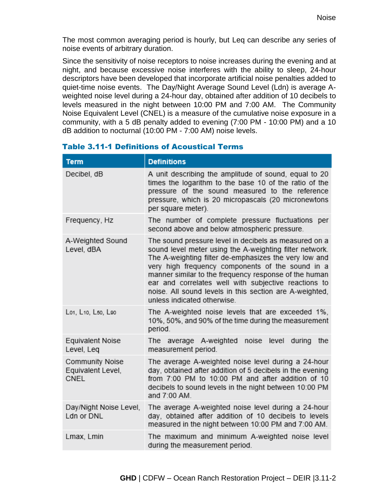The most common averaging period is hourly, but Leq can describe any series of noise events of arbitrary duration.

Since the sensitivity of noise receptors to noise increases during the evening and at night, and because excessive noise interferes with the ability to sleep, 24-hour descriptors have been developed that incorporate artificial noise penalties added to quiet-time noise events. The Day/Night Average Sound Level (Ldn) is average Aweighted noise level during a 24-hour day, obtained after addition of 10 decibels to levels measured in the night between 10:00 PM and 7:00 AM. The Community Noise Equivalent Level (CNEL) is a measure of the cumulative noise exposure in a community, with a 5 dB penalty added to evening (7:00 PM - 10:00 PM) and a 10 dB addition to nocturnal (10:00 PM - 7:00 AM) noise levels.

| <b>Term</b>                                  | <b>Definitions</b>                                                                                                                                                                                                                                                                                                                                                                                                                       |  |
|----------------------------------------------|------------------------------------------------------------------------------------------------------------------------------------------------------------------------------------------------------------------------------------------------------------------------------------------------------------------------------------------------------------------------------------------------------------------------------------------|--|
| Decibel, dB                                  | A unit describing the amplitude of sound, equal to 20<br>times the logarithm to the base 10 of the ratio of the<br>pressure of the sound measured to the reference<br>pressure, which is 20 micropascals (20 micronewtons<br>per square meter).                                                                                                                                                                                          |  |
| Frequency, Hz                                | The number of complete pressure fluctuations per<br>second above and below atmospheric pressure.                                                                                                                                                                                                                                                                                                                                         |  |
| A-Weighted Sound<br>Level, dBA               | The sound pressure level in decibels as measured on a<br>sound level meter using the A-weighting filter network.<br>The A-weighting filter de-emphasizes the very low and<br>very high frequency components of the sound in a<br>manner similar to the frequency response of the human<br>ear and correlates well with subjective reactions to<br>noise. All sound levels in this section are A-weighted,<br>unless indicated otherwise. |  |
| Lo1, L10, L50, L90                           | The A-weighted noise levels that are exceeded 1%,<br>10%, 50%, and 90% of the time during the measurement<br>period.                                                                                                                                                                                                                                                                                                                     |  |
| <b>Equivalent Noise</b><br>Level, Leq        | The average A-weighted<br>noise<br>level<br>during<br>the<br>measurement period.                                                                                                                                                                                                                                                                                                                                                         |  |
| Community Noise<br>Equivalent Level,<br>CNEL | The average A-weighted noise level during a 24-hour<br>day, obtained after addition of 5 decibels in the evening<br>from 7:00 PM to 10:00 PM and after addition of 10<br>decibels to sound levels in the night between 10:00 PM<br>and 7:00 AM.                                                                                                                                                                                          |  |
| Day/Night Noise Level,<br>Ldn or DNL         | The average A-weighted noise level during a 24-hour<br>day, obtained after addition of 10 decibels to levels<br>measured in the night between 10:00 PM and 7:00 AM.                                                                                                                                                                                                                                                                      |  |
| Lmax, Lmin                                   | The maximum and minimum A-weighted noise level<br>during the measurement period.                                                                                                                                                                                                                                                                                                                                                         |  |

### Table 3.11-1 Definitions of Acoustical Terms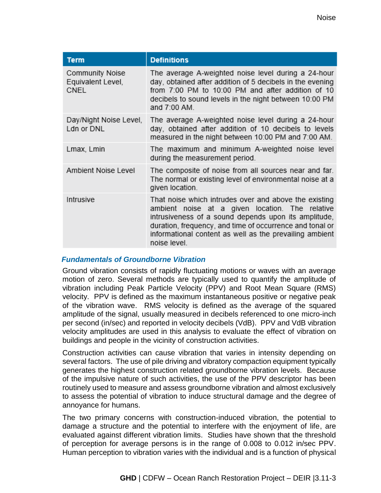| <b>Term</b>                                         | <b>Definitions</b>                                                                                                                                                                                                                                                                                      |
|-----------------------------------------------------|---------------------------------------------------------------------------------------------------------------------------------------------------------------------------------------------------------------------------------------------------------------------------------------------------------|
| Community Noise<br>Equivalent Level,<br><b>CNEL</b> | The average A-weighted noise level during a 24-hour<br>day, obtained after addition of 5 decibels in the evening<br>from 7:00 PM to 10:00 PM and after addition of 10<br>decibels to sound levels in the night between 10:00 PM<br>and 7:00 AM.                                                         |
| Day/Night Noise Level,<br>Ldn or DNL                | The average A-weighted noise level during a 24-hour<br>day, obtained after addition of 10 decibels to levels<br>measured in the night between 10:00 PM and 7:00 AM.                                                                                                                                     |
| Lmax, Lmin                                          | The maximum and minimum A-weighted noise level<br>during the measurement period.                                                                                                                                                                                                                        |
| Ambient Noise Level                                 | The composite of noise from all sources near and far.<br>The normal or existing level of environmental noise at a<br>given location.                                                                                                                                                                    |
| Intrusive                                           | That noise which intrudes over and above the existing<br>ambient noise at a given location. The relative<br>intrusiveness of a sound depends upon its amplitude,<br>duration, frequency, and time of occurrence and tonal or<br>informational content as well as the prevailing ambient<br>noise level. |

### *Fundamentals of Groundborne Vibration*

Ground vibration consists of rapidly fluctuating motions or waves with an average motion of zero. Several methods are typically used to quantify the amplitude of vibration including Peak Particle Velocity (PPV) and Root Mean Square (RMS) velocity. PPV is defined as the maximum instantaneous positive or negative peak of the vibration wave. RMS velocity is defined as the average of the squared amplitude of the signal, usually measured in decibels referenced to one micro-inch per second (in/sec) and reported in velocity decibels (VdB). PPV and VdB vibration velocity amplitudes are used in this analysis to evaluate the effect of vibration on buildings and people in the vicinity of construction activities.

Construction activities can cause vibration that varies in intensity depending on several factors. The use of pile driving and vibratory compaction equipment typically generates the highest construction related groundborne vibration levels. Because of the impulsive nature of such activities, the use of the PPV descriptor has been routinely used to measure and assess groundborne vibration and almost exclusively to assess the potential of vibration to induce structural damage and the degree of annoyance for humans.

The two primary concerns with construction-induced vibration, the potential to damage a structure and the potential to interfere with the enjoyment of life, are evaluated against different vibration limits. Studies have shown that the threshold of perception for average persons is in the range of 0.008 to 0.012 in/sec PPV. Human perception to vibration varies with the individual and is a function of physical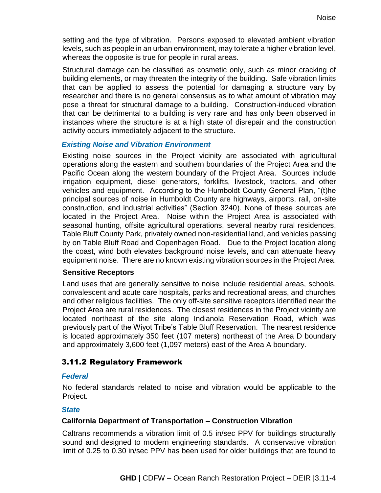setting and the type of vibration. Persons exposed to elevated ambient vibration levels, such as people in an urban environment, may tolerate a higher vibration level, whereas the opposite is true for people in rural areas.

Structural damage can be classified as cosmetic only, such as minor cracking of building elements, or may threaten the integrity of the building. Safe vibration limits that can be applied to assess the potential for damaging a structure vary by researcher and there is no general consensus as to what amount of vibration may pose a threat for structural damage to a building. Construction-induced vibration that can be detrimental to a building is very rare and has only been observed in instances where the structure is at a high state of disrepair and the construction activity occurs immediately adjacent to the structure.

### *Existing Noise and Vibration Environment*

Existing noise sources in the Project vicinity are associated with agricultural operations along the eastern and southern boundaries of the Project Area and the Pacific Ocean along the western boundary of the Project Area. Sources include irrigation equipment, diesel generators, forklifts, livestock, tractors, and other vehicles and equipment. According to the Humboldt County General Plan, "(t)he principal sources of noise in Humboldt County are highways, airports, rail, on-site construction, and industrial activities" (Section 3240). None of these sources are located in the Project Area. Noise within the Project Area is associated with seasonal hunting, offsite agricultural operations, several nearby rural residences, Table Bluff County Park, privately owned non-residential land, and vehicles passing by on Table Bluff Road and Copenhagen Road. Due to the Project location along the coast, wind both elevates background noise levels, and can attenuate heavy equipment noise. There are no known existing vibration sources in the Project Area.

### **Sensitive Receptors**

Land uses that are generally sensitive to noise include residential areas, schools, convalescent and acute care hospitals, parks and recreational areas, and churches and other religious facilities. The only off-site sensitive receptors identified near the Project Area are rural residences. The closest residences in the Project vicinity are located northeast of the site along Indianola Reservation Road, which was previously part of the Wiyot Tribe's Table Bluff Reservation. The nearest residence is located approximately 350 feet (107 meters) northeast of the Area D boundary and approximately 3,600 feet (1,097 meters) east of the Area A boundary.

### 3.11.2 Regulatory Framework

### *Federal*

No federal standards related to noise and vibration would be applicable to the Project.

### *State*

### **California Department of Transportation – Construction Vibration**

Caltrans recommends a vibration limit of 0.5 in/sec PPV for buildings structurally sound and designed to modern engineering standards. A conservative vibration limit of 0.25 to 0.30 in/sec PPV has been used for older buildings that are found to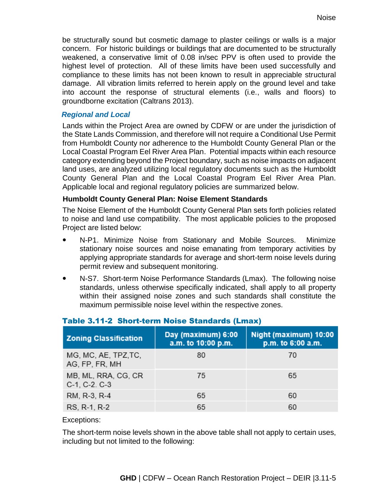be structurally sound but cosmetic damage to plaster ceilings or walls is a major concern. For historic buildings or buildings that are documented to be structurally weakened, a conservative limit of 0.08 in/sec PPV is often used to provide the highest level of protection. All of these limits have been used successfully and compliance to these limits has not been known to result in appreciable structural damage. All vibration limits referred to herein apply on the ground level and take into account the response of structural elements (i.e., walls and floors) to groundborne excitation (Caltrans 2013).

### *Regional and Local*

Lands within the Project Area are owned by CDFW or are under the jurisdiction of the State Lands Commission, and therefore will not require a Conditional Use Permit from Humboldt County nor adherence to the Humboldt County General Plan or the Local Coastal Program Eel River Area Plan. Potential impacts within each resource category extending beyond the Project boundary, such as noise impacts on adjacent land uses, are analyzed utilizing local regulatory documents such as the Humboldt County General Plan and the Local Coastal Program Eel River Area Plan. Applicable local and regional regulatory policies are summarized below.

### **Humboldt County General Plan: Noise Element Standards**

The Noise Element of the Humboldt County General Plan sets forth policies related to noise and land use compatibility. The most applicable policies to the proposed Project are listed below:

- N-P1. Minimize Noise from Stationary and Mobile Sources. Minimize stationary noise sources and noise emanating from temporary activities by applying appropriate standards for average and short-term noise levels during permit review and subsequent monitoring.
- N-S7. Short-term Noise Performance Standards (Lmax). The following noise standards, unless otherwise specifically indicated, shall apply to all property within their assigned noise zones and such standards shall constitute the maximum permissible noise level within the respective zones.

| <b>Zoning Classification</b>           | Day (maximum) 6:00<br>a.m. to 10:00 p.m. | Night (maximum) 10:00<br>p.m. to 6:00 a.m. |
|----------------------------------------|------------------------------------------|--------------------------------------------|
| MG, MC, AE, TPZ, TC,<br>AG, FP, FR, MH | 80                                       | 70                                         |
| MB, ML, RRA, CG, CR<br>C-1, C-2. C-3   | 75                                       | 65                                         |
| RM, R-3, R-4                           | 65                                       | 60                                         |
| RS, R-1, R-2                           | 65                                       | 60                                         |

### Table 3.11-2 Short-term Noise Standards (Lmax)

#### Exceptions:

The short-term noise levels shown in the above table shall not apply to certain uses, including but not limited to the following: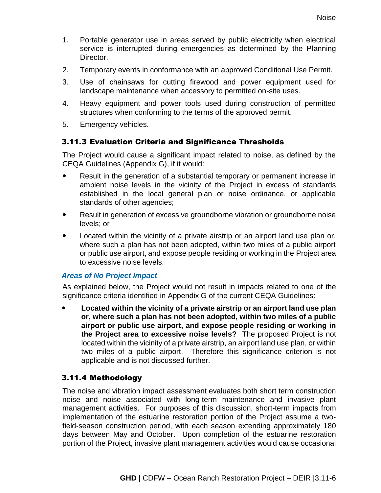- 1. Portable generator use in areas served by public electricity when electrical service is interrupted during emergencies as determined by the Planning Director.
- 2. Temporary events in conformance with an approved Conditional Use Permit.
- 3. Use of chainsaws for cutting firewood and power equipment used for landscape maintenance when accessory to permitted on-site uses.
- 4. Heavy equipment and power tools used during construction of permitted structures when conforming to the terms of the approved permit.
- 5. Emergency vehicles.

### 3.11.3 Evaluation Criteria and Significance Thresholds

The Project would cause a significant impact related to noise, as defined by the CEQA Guidelines (Appendix G), if it would:

- Result in the generation of a substantial temporary or permanent increase in ambient noise levels in the vicinity of the Project in excess of standards established in the local general plan or noise ordinance, or applicable standards of other agencies;
- Result in generation of excessive groundborne vibration or groundborne noise levels; or
- Located within the vicinity of a private airstrip or an airport land use plan or, where such a plan has not been adopted, within two miles of a public airport or public use airport, and expose people residing or working in the Project area to excessive noise levels.

### *Areas of No Project Impact*

As explained below, the Project would not result in impacts related to one of the significance criteria identified in Appendix G of the current CEQA Guidelines:

 **Located within the vicinity of a private airstrip or an airport land use plan or, where such a plan has not been adopted, within two miles of a public airport or public use airport, and expose people residing or working in the Project area to excessive noise levels?** The proposed Project is not located within the vicinity of a private airstrip, an airport land use plan, or within two miles of a public airport. Therefore this significance criterion is not applicable and is not discussed further.

### 3.11.4 Methodology

The noise and vibration impact assessment evaluates both short term construction noise and noise associated with long-term maintenance and invasive plant management activities. For purposes of this discussion, short-term impacts from implementation of the estuarine restoration portion of the Project assume a twofield-season construction period, with each season extending approximately 180 days between May and October. Upon completion of the estuarine restoration portion of the Project, invasive plant management activities would cause occasional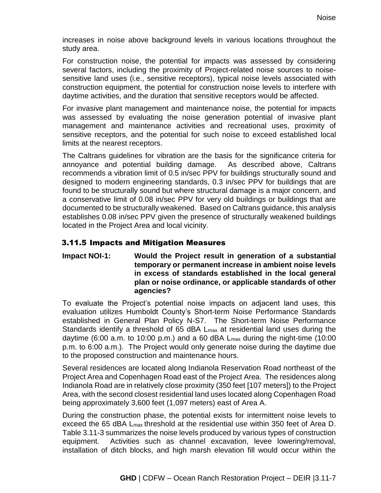increases in noise above background levels in various locations throughout the study area.

For construction noise, the potential for impacts was assessed by considering several factors, including the proximity of Project-related noise sources to noisesensitive land uses (i.e., sensitive receptors), typical noise levels associated with construction equipment, the potential for construction noise levels to interfere with daytime activities, and the duration that sensitive receptors would be affected.

For invasive plant management and maintenance noise, the potential for impacts was assessed by evaluating the noise generation potential of invasive plant management and maintenance activities and recreational uses, proximity of sensitive receptors, and the potential for such noise to exceed established local limits at the nearest receptors.

The Caltrans guidelines for vibration are the basis for the significance criteria for annoyance and potential building damage. As described above, Caltrans recommends a vibration limit of 0.5 in/sec PPV for buildings structurally sound and designed to modern engineering standards, 0.3 in/sec PPV for buildings that are found to be structurally sound but where structural damage is a major concern, and a conservative limit of 0.08 in/sec PPV for very old buildings or buildings that are documented to be structurally weakened. Based on Caltrans guidance, this analysis establishes 0.08 in/sec PPV given the presence of structurally weakened buildings located in the Project Area and local vicinity.

### 3.11.5 Impacts and Mitigation Measures

**Impact NOI-1: Would the Project result in generation of a substantial temporary or permanent increase in ambient noise levels in excess of standards established in the local general plan or noise ordinance, or applicable standards of other agencies?**

To evaluate the Project's potential noise impacts on adjacent land uses, this evaluation utilizes Humboldt County's Short-term Noise Performance Standards established in General Plan Policy N-S7. The Short-term Noise Performance Standards identify a threshold of 65 dBA Lmax at residential land uses during the daytime (6:00 a.m. to 10:00 p.m.) and a 60 dBA  $L_{\text{max}}$  during the night-time (10:00 p.m. to 6:00 a.m.). The Project would only generate noise during the daytime due to the proposed construction and maintenance hours.

Several residences are located along Indianola Reservation Road northeast of the Project Area and Copenhagen Road east of the Project Area. The residences along Indianola Road are in relatively close proximity (350 feet [107 meters]) to the Project Area, with the second closest residential land uses located along Copenhagen Road being approximately 3,600 feet (1,097 meters) east of Area A.

During the construction phase, the potential exists for intermittent noise levels to exceed the 65 dBA Lmax threshold at the residential use within 350 feet of Area D. Table 3.11-3 summarizes the noise levels produced by various types of construction equipment. Activities such as channel excavation, levee lowering/removal, installation of ditch blocks, and high marsh elevation fill would occur within the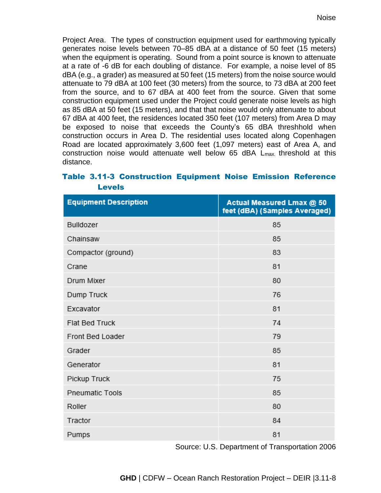Project Area. The types of construction equipment used for earthmoving typically generates noise levels between 70–85 dBA at a distance of 50 feet (15 meters) when the equipment is operating. Sound from a point source is known to attenuate at a rate of -6 dB for each doubling of distance. For example, a noise level of 85 dBA (e.g., a grader) as measured at 50 feet (15 meters) from the noise source would attenuate to 79 dBA at 100 feet (30 meters) from the source, to 73 dBA at 200 feet from the source, and to 67 dBA at 400 feet from the source. Given that some construction equipment used under the Project could generate noise levels as high as 85 dBA at 50 feet (15 meters), and that that noise would only attenuate to about 67 dBA at 400 feet, the residences located 350 feet (107 meters) from Area D may be exposed to noise that exceeds the County's 65 dBA threshhold when construction occurs in Area D. The residential uses located along Copenhagen Road are located approximately 3,600 feet (1,097 meters) east of Area A, and construction noise would attenuate well below 65 dBA  $L_{\text{max}}$  threshold at this distance.

| <b>Equipment Description</b> | Actual Measured Lmax @ 50<br>feet (dBA) (Samples Averaged) |  |
|------------------------------|------------------------------------------------------------|--|
| Bulldozer                    | 85                                                         |  |
| Chainsaw                     | 85                                                         |  |
| Compactor (ground)           | 83                                                         |  |
| Crane                        | 81                                                         |  |
| Drum Mixer                   | 80                                                         |  |
| Dump Truck                   | 76                                                         |  |
| Excavator                    | 81                                                         |  |
| Flat Bed Truck               | 74                                                         |  |
| Front Bed Loader             | 79                                                         |  |
| Grader                       | 85                                                         |  |
| Generator                    | 81                                                         |  |
| Pickup Truck                 | 75                                                         |  |
| <b>Pneumatic Tools</b>       | 85                                                         |  |
| Roller                       | 80                                                         |  |
| Tractor                      | 84                                                         |  |
| Pumps                        | 81                                                         |  |

## Table 3.11-3 Construction Equipment Noise Emission Reference Levels

Source: U.S. Department of Transportation 2006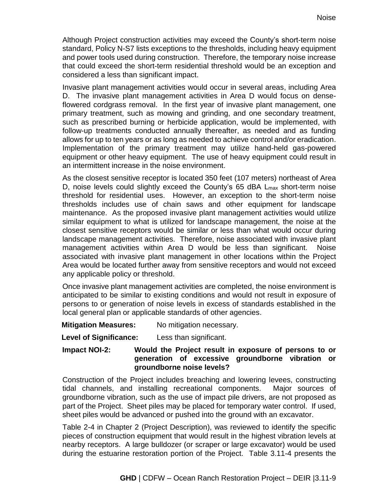Although Project construction activities may exceed the County's short-term noise standard, Policy N-S7 lists exceptions to the thresholds, including heavy equipment and power tools used during construction. Therefore, the temporary noise increase that could exceed the short-term residential threshold would be an exception and considered a less than significant impact.

Invasive plant management activities would occur in several areas, including Area D. The invasive plant management activities in Area D would focus on denseflowered cordgrass removal. In the first year of invasive plant management, one primary treatment, such as mowing and grinding, and one secondary treatment, such as prescribed burning or herbicide application, would be implemented, with follow-up treatments conducted annually thereafter, as needed and as funding allows for up to ten years or as long as needed to achieve control and/or eradication. Implementation of the primary treatment may utilize hand-held gas-powered equipment or other heavy equipment. The use of heavy equipment could result in an intermittent increase in the noise environment.

As the closest sensitive receptor is located 350 feet (107 meters) northeast of Area D, noise levels could slightly exceed the County's 65 dBA L<sub>max</sub> short-term noise threshold for residential uses. However, an exception to the short-term noise thresholds includes use of chain saws and other equipment for landscape maintenance. As the proposed invasive plant management activities would utilize similar equipment to what is utilized for landscape management, the noise at the closest sensitive receptors would be similar or less than what would occur during landscape management activities. Therefore, noise associated with invasive plant management activities within Area D would be less than significant. Noise associated with invasive plant management in other locations within the Project Area would be located further away from sensitive receptors and would not exceed any applicable policy or threshold.

Once invasive plant management activities are completed, the noise environment is anticipated to be similar to existing conditions and would not result in exposure of persons to or generation of noise levels in excess of standards established in the local general plan or applicable standards of other agencies.

**Mitigation Measures:** No mitigation necessary.

**Level of Significance:** Less than significant.

### **Impact NOI-2: Would the Project result in exposure of persons to or generation of excessive groundborne vibration or groundborne noise levels?**

Construction of the Project includes breaching and lowering levees, constructing tidal channels, and installing recreational components. Major sources of groundborne vibration, such as the use of impact pile drivers, are not proposed as part of the Project. Sheet piles may be placed for temporary water control. If used, sheet piles would be advanced or pushed into the ground with an excavator.

Table 2-4 in Chapter 2 (Project Description), was reviewed to identify the specific pieces of construction equipment that would result in the highest vibration levels at nearby receptors. A large bulldozer (or scraper or large excavator) would be used during the estuarine restoration portion of the Project. Table 3.11-4 presents the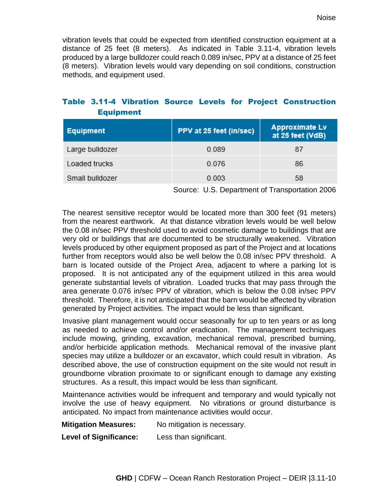vibration levels that could be expected from identified construction equipment at a distance of 25 feet (8 meters). As indicated in Table 3.11-4, vibration levels produced by a large bulldozer could reach 0.089 in/sec, PPV at a distance of 25 feet (8 meters). Vibration levels would vary depending on soil conditions, construction methods, and equipment used.

# Table 3.11-4 Vibration Source Levels for Project Construction Equipment

| <b>Equipment</b> | PPV at 25 feet (in/sec) | <b>Approximate Lv</b><br>at 25 feet (VdB) |
|------------------|-------------------------|-------------------------------------------|
| Large bulldozer  | 0.089                   | 87                                        |
| Loaded trucks    | 0.076                   | 86                                        |
| Small bulldozer  | 0.003                   | 58                                        |

Source: U.S. Department of Transportation 2006

The nearest sensitive receptor would be located more than 300 feet (91 meters) from the nearest earthwork. At that distance vibration levels would be well below the 0.08 in/sec PPV threshold used to avoid cosmetic damage to buildings that are very old or buildings that are documented to be structurally weakened. Vibration levels produced by other equipment proposed as part of the Project and at locations further from receptors would also be well below the 0.08 in/sec PPV threshold. A barn is located outside of the Project Area, adjacent to where a parking lot is proposed. It is not anticipated any of the equipment utilized in this area would generate substantial levels of vibration. Loaded trucks that may pass through the area generate 0.076 in/sec PPV of vibration, which is below the 0.08 in/sec PPV threshold. Therefore, it is not anticipated that the barn would be affected by vibration generated by Project activities. The impact would be less than significant.

Invasive plant management would occur seasonally for up to ten years or as long as needed to achieve control and/or eradication. The management techniques include mowing, grinding, excavation, mechanical removal, prescribed burning, and/or herbicide application methods. Mechanical removal of the invasive plant species may utilize a bulldozer or an excavator, which could result in vibration. As described above, the use of construction equipment on the site would not result in groundborne vibration proximate to or significant enough to damage any existing structures. As a result, this impact would be less than significant.

Maintenance activities would be infrequent and temporary and would typically not involve the use of heavy equipment. No vibrations or ground disturbance is anticipated. No impact from maintenance activities would occur.

**Mitigation Measures:** No mitigation is necessary.

**Level of Significance:** Less than significant.